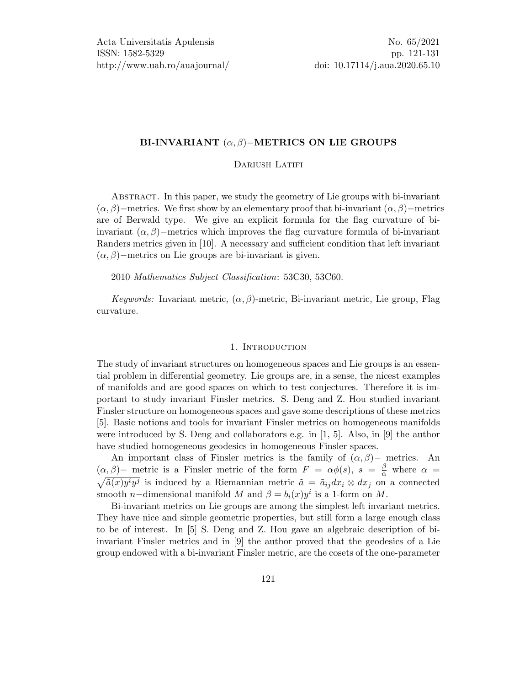# BI-INVARIANT  $(\alpha, \beta)$ −METRICS ON LIE GROUPS

### DARIUSH LATIFI

Abstract. In this paper, we study the geometry of Lie groups with bi-invariant  $(\alpha, \beta)$ −metrics. We first show by an elementary proof that bi-invariant  $(\alpha, \beta)$ −metrics are of Berwald type. We give an explicit formula for the flag curvature of biinvariant  $(\alpha, \beta)$ −metrics which improves the flag curvature formula of bi-invariant Randers metrics given in [\[10\]](#page-10-1). A necessary and sufficient condition that left invariant  $(\alpha, \beta)$ −metrics on Lie groups are bi-invariant is given.

2010 Mathematics Subject Classification: 53C30, 53C60.

Keywords: Invariant metric,  $(\alpha, \beta)$ -metric, Bi-invariant metric, Lie group, Flag curvature.

#### 1. INTRODUCTION

The study of invariant structures on homogeneous spaces and Lie groups is an essential problem in differential geometry. Lie groups are, in a sense, the nicest examples of manifolds and are good spaces on which to test conjectures. Therefore it is important to study invariant Finsler metrics. S. Deng and Z. Hou studied invariant Finsler structure on homogeneous spaces and gave some descriptions of these metrics [\[5\]](#page-9-0). Basic notions and tools for invariant Finsler metrics on homogeneous manifolds were introduced by S. Deng and collaborators e.g. in [\[1,](#page-9-1) [5\]](#page-9-0). Also, in [\[9\]](#page-10-2) the author have studied homogeneous geodesics in homogeneous Finsler spaces.

An important class of Finsler metrics is the family of  $(\alpha, \beta)$ – metrics. An  $(\alpha, \beta)$ – metric is a Finsler metric of the form  $F = \alpha \phi(s)$ ,  $s = \frac{\beta}{\alpha}$  $(\alpha, \beta)$  metric is a Finsler metric of the form  $F = \alpha \phi(s)$ ,  $s = \frac{\beta}{\alpha}$  where  $\alpha = \sqrt{\tilde{a}(x)y^i y^j}$  is induced by a Riemannian metric  $\tilde{a} = \tilde{a}_{ij} dx_i \otimes dx_j$  on a connected smooth *n*-dimensional manifold M and  $\beta = b_i(x)y^i$  is a 1-form on M.

Bi-invariant metrics on Lie groups are among the simplest left invariant metrics. They have nice and simple geometric properties, but still form a large enough class to be of interest. In [\[5\]](#page-9-0) S. Deng and Z. Hou gave an algebraic description of biinvariant Finsler metrics and in [\[9\]](#page-10-2) the author proved that the geodesics of a Lie group endowed with a bi-invariant Finsler metric, are the cosets of the one-parameter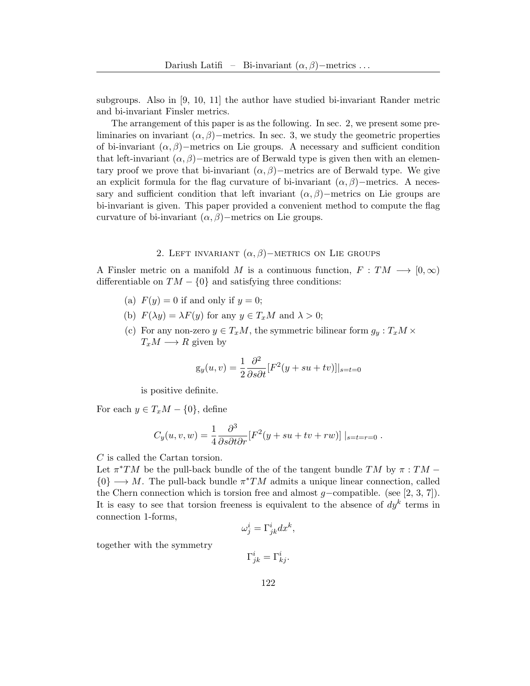subgroups. Also in [\[9,](#page-10-2) [10,](#page-10-1) [11\]](#page-10-3) the author have studied bi-invariant Rander metric and bi-invariant Finsler metrics.

The arrangement of this paper is as the following. In sec. 2, we present some preliminaries on invariant  $(\alpha, \beta)$ −metrics. In sec. 3, we study the geometric properties of bi-invariant  $(\alpha, \beta)$ −metrics on Lie groups. A necessary and sufficient condition that left-invariant  $(\alpha, \beta)$ −metrics are of Berwald type is given then with an elementary proof we prove that bi-invariant  $(\alpha, \beta)$ −metrics are of Berwald type. We give an explicit formula for the flag curvature of bi-invariant  $(\alpha, \beta)$ −metrics. A necessary and sufficient condition that left invariant  $(\alpha, \beta)$ −metrics on Lie groups are bi-invariant is given. This paper provided a convenient method to compute the flag curvature of bi-invariant  $(\alpha, \beta)$ –metrics on Lie groups.

# 2. LEFT INVARIANT  $(\alpha, \beta)$ −METRICS ON LIE GROUPS

A Finsler metric on a manifold M is a continuous function,  $F: TM \longrightarrow [0,\infty)$ differentiable on  $TM - \{0\}$  and satisfying three conditions:

- (a)  $F(y) = 0$  if and only if  $y = 0$ ;
- (b)  $F(\lambda y) = \lambda F(y)$  for any  $y \in T_xM$  and  $\lambda > 0$ ;
- (c) For any non-zero  $y \in T_xM$ , the symmetric bilinear form  $g_y : T_xM \times$  $T_xM \longrightarrow R$  given by

$$
g_y(u, v) = \frac{1}{2} \frac{\partial^2}{\partial s \partial t} [F^2(y + su + tv)]|_{s=t=0}
$$

is positive definite.

For each  $y \in T_xM - \{0\}$ , define

$$
C_y(u, v, w) = \frac{1}{4} \frac{\partial^3}{\partial s \partial t \partial r} [F^2(y + su + tv + rw)] \mid_{s=t=r=0}.
$$

C is called the Cartan torsion.

Let  $\pi^*TM$  be the pull-back bundle of the of the tangent bundle TM by  $\pi:TM$  ${0} \rightarrow M$ . The pull-back bundle  $\pi^*TM$  admits a unique linear connection, called the Chern connection which is torsion free and almost  $g$ –compatible. (see [\[2,](#page-9-2) [3,](#page-9-3) [7\]](#page-10-4)). It is easy to see that torsion freeness is equivalent to the absence of  $dy<sup>k</sup>$  terms in connection 1-forms,

$$
\omega^i_j = \Gamma^i_{jk} dx^k,
$$

together with the symmetry

 $\Gamma^i_{jk} = \Gamma^i_{kj}.$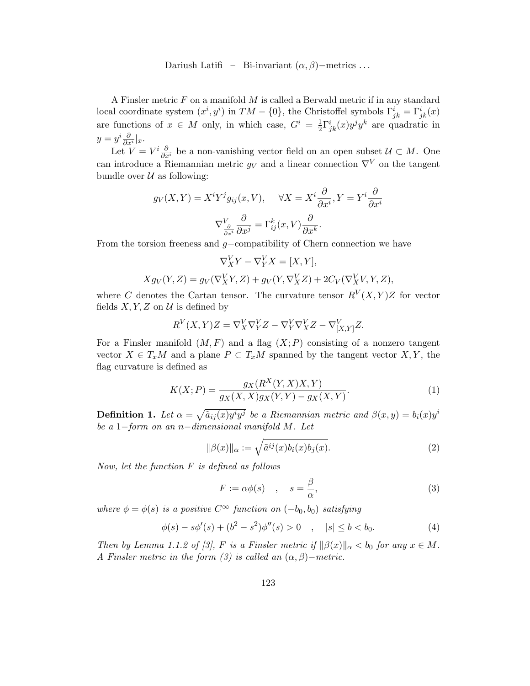A Finsler metric  $F$  on a manifold  $M$  is called a Berwald metric if in any standard local coordinate system  $(x^i, y^i)$  in  $TM - \{0\}$ , the Christoffel symbols  $\Gamma^i_{jk} = \Gamma^i_{jk}(x)$ are functions of  $x \in M$  only, in which case,  $G^i = \frac{1}{2}$  $\frac{1}{2}\Gamma^i_{jk}(x)y^j y^k$  are quadratic in  $y = y^i \frac{\partial}{\partial x^i} |_x.$ 

Let  $V = V^i \frac{\partial}{\partial x^i}$  be a non-vanishing vector field on an open subset  $\mathcal{U} \subset M$ . One can introduce a Riemannian metric  $g_V$  and a linear connection  $\nabla^V$  on the tangent bundle over  $\mathcal U$  as following:

$$
g_V(X,Y) = X^i Y^j g_{ij}(x,V), \quad \forall X = X^i \frac{\partial}{\partial x^i}, Y = Y^i \frac{\partial}{\partial x^i}
$$

$$
\nabla_{\frac{\partial}{\partial x^i}}^V \frac{\partial}{\partial x^j} = \Gamma_{ij}^k(x,V) \frac{\partial}{\partial x^k}.
$$

From the torsion freeness and g−compatibility of Chern connection we have

$$
\nabla_X^V Y - \nabla_Y^V X = [X, Y],
$$
  

$$
Xg_V(Y, Z) = g_V(\nabla_X^V Y, Z) + g_V(Y, \nabla_X^V Z) + 2C_V(\nabla_X^V V, Y, Z),
$$

where C denotes the Cartan tensor. The curvature tensor  $R^{V}(X,Y)Z$  for vector fields  $X, Y, Z$  on  $U$  is defined by

$$
R^V(X,Y)Z = \nabla^V_X \nabla^V_Y Z - \nabla^V_Y \nabla^V_X Z - \nabla^V_{[X,Y]} Z.
$$

For a Finsler manifold  $(M, F)$  and a flag  $(X; P)$  consisting of a nonzero tangent vector  $X \in T_xM$  and a plane  $P \subset T_xM$  spanned by the tangent vector  $X, Y$ , the flag curvature is defined as

$$
K(X; P) = \frac{g_X(R^X(Y, X)X, Y)}{g_X(X, X)g_X(Y, Y) - g_X(X, Y)}.
$$
\n(1)

**Definition 1.** Let  $\alpha = \sqrt{\tilde{a}_{ij}(x)y^i y^j}$  be a Riemannian metric and  $\beta(x, y) = b_i(x)y^i$ be a 1−form on an n−dimensional manifold M. Let

$$
\|\beta(x)\|_{\alpha} := \sqrt{\tilde{a}^{ij}(x)b_i(x)b_j(x)}.
$$
\n(2)

Now, let the function  $F$  is defined as follows

<span id="page-2-0"></span>
$$
F := \alpha \phi(s) \quad , \quad s = \frac{\beta}{\alpha}, \tag{3}
$$

where  $\phi = \phi(s)$  is a positive  $C^{\infty}$  function on  $(-b_0, b_0)$  satisfying

$$
\phi(s) - s\phi'(s) + (b^2 - s^2)\phi''(s) > 0 \quad , \quad |s| \le b < b_0. \tag{4}
$$

Then by Lemma 1.1.2 of [\[3\]](#page-9-3), F is a Finsler metric if  $\|\beta(x)\|_{\alpha} < b_0$  for any  $x \in M$ . A Finsler metric in the form [\(3\)](#page-2-0) is called an  $(\alpha, \beta)$  – metric.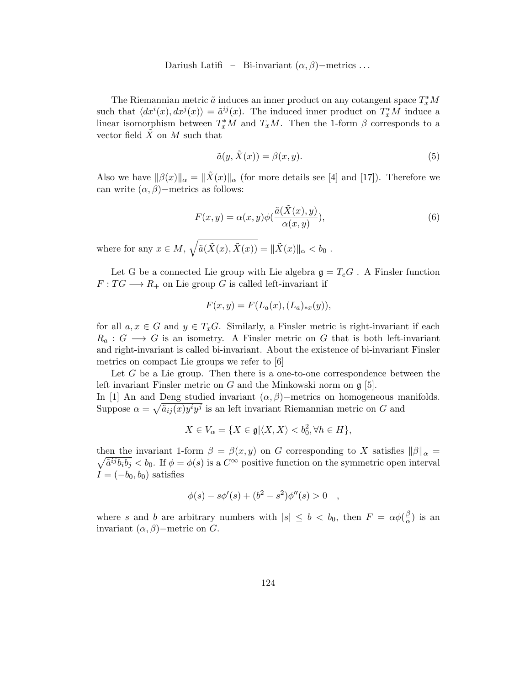The Riemannian metric  $\tilde{a}$  induces an inner product on any cotangent space  $T_x^*M$ such that  $\langle dx^i(x), dx^j(x) \rangle = \tilde{a}^{ij}(x)$ . The induced inner product on  $T_x^*M$  induce a linear isomorphism between  $T_x^*M$  and  $T_xM$ . Then the 1-form  $\beta$  corresponds to a vector field  $X$  on  $M$  such that

$$
\tilde{a}(y, \tilde{X}(x)) = \beta(x, y). \tag{5}
$$

Also we have  $\|\beta(x)\|_{\alpha} = \|\tilde{X}(x)\|_{\alpha}$  (for more details see [\[4\]](#page-9-4) and [\[17\]](#page-10-5)). Therefore we can write  $(\alpha, \beta)$ −metrics as follows:

$$
F(x,y) = \alpha(x,y)\phi(\frac{\tilde{a}(\tilde{X}(x),y)}{\alpha(x,y)}),
$$
\n(6)

where for any  $x \in M$ ,  $\sqrt{\tilde{a}(\tilde{X}(x), \tilde{X}(x))} = ||\tilde{X}(x)||_{\alpha} < b_0$ .

Let G be a connected Lie group with Lie algebra  $g = T_eG$ . A Finsler function  $F: TG \longrightarrow R_+$  on Lie group G is called left-invariant if

$$
F(x,y) = F(L_a(x), (L_a)_{*x}(y)),
$$

for all  $a, x \in G$  and  $y \in T_xG$ . Similarly, a Finsler metric is right-invariant if each  $R_a: G \longrightarrow G$  is an isometry. A Finsler metric on G that is both left-invariant and right-invariant is called bi-invariant. About the existence of bi-invariant Finsler metrics on compact Lie groups we refer to [\[6\]](#page-10-6)

Let  $G$  be a Lie group. Then there is a one-to-one correspondence between the left invariant Finsler metric on G and the Minkowski norm on g [\[5\]](#page-9-0).

In [\[1\]](#page-9-1) An and Deng studied invariant  $(\alpha, \beta)$ −metrics on homogeneous manifolds. Suppose  $\alpha = \sqrt{\tilde{a}_{ij}(x)y^i y^j}$  is an left invariant Riemannian metric on G and

$$
X \in V_{\alpha} = \{ X \in \mathfrak{g} | \langle X, X \rangle < b_0^2, \forall h \in H \},
$$

then the invariant 1-form  $\beta = \beta(x, y)$  on G corresponding to X satisfies  $\|\beta\|_{\alpha} =$  $\sqrt{\tilde{a}^{ij}b_ib_j} < b_0$ . If  $\phi = \phi(s)$  is a  $C^{\infty}$  positive function on the symmetric open interval  $I = (-b_0, b_0)$  satisfies

$$
\phi(s) - s\phi'(s) + (b^2 - s^2)\phi''(s) > 0 \quad ,
$$

where s and b are arbitrary numbers with  $|s| \leq b < b_0$ , then  $F = \alpha \phi(\frac{\beta}{\alpha})$  $\frac{\beta}{\alpha}$ ) is an invariant  $(\alpha, \beta)$  – metric on G.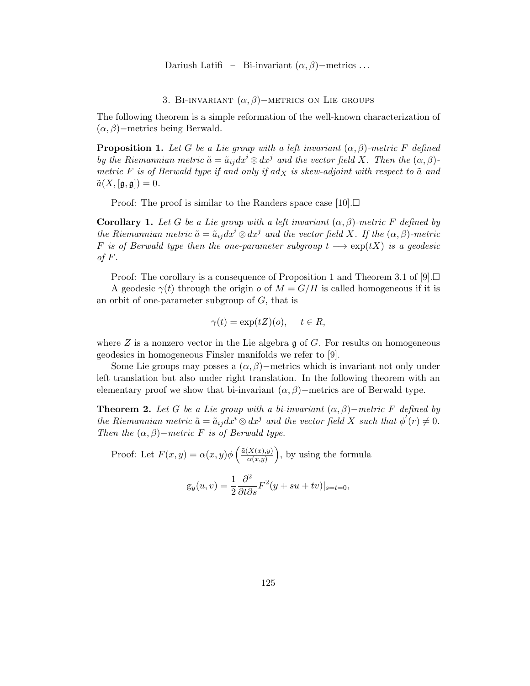## 3. BI-INVARIANT  $(\alpha, \beta)$ −METRICS ON LIE GROUPS

The following theorem is a simple reformation of the well-known characterization of  $(\alpha, \beta)$ −metrics being Berwald.

<span id="page-4-0"></span>**Proposition 1.** Let G be a Lie group with a left invariant  $(\alpha, \beta)$ -metric F defined by the Riemannian metric  $\tilde{a} = \tilde{a}_{ij} dx^i \otimes dx^j$  and the vector field X. Then the  $(\alpha, \beta)$ metric F is of Berwald type if and only if adx is skew-adjoint with respect to  $\tilde{a}$  and  $\tilde{a}(X,[\mathfrak{g},\mathfrak{g}])=0.$ 

Proof: The proof is similar to the Randers space case  $[10]$ .

**Corollary 1.** Let G be a Lie group with a left invariant  $(\alpha, \beta)$ -metric F defined by the Riemannian metric  $\tilde{a} = \tilde{a}_{ij} dx^i \otimes dx^j$  and the vector field X. If the  $(\alpha, \beta)$ -metric F is of Berwald type then the one-parameter subgroup  $t \longrightarrow \exp(tX)$  is a geodesic of  $F$ .

Proof: The corollary is a consequence of Proposition [1](#page-4-0) and Theorem 3.1 of [\[9\]](#page-10-2).  $\Box$ 

A geodesic  $\gamma(t)$  through the origin o of  $M = G/H$  is called homogeneous if it is an orbit of one-parameter subgroup of  $G$ , that is

$$
\gamma(t) = \exp(tZ)(o), \quad t \in R,
$$

where  $Z$  is a nonzero vector in the Lie algebra  $\mathfrak g$  of  $G$ . For results on homogeneous geodesics in homogeneous Finsler manifolds we refer to [\[9\]](#page-10-2).

Some Lie groups may posses a  $(\alpha, \beta)$ −metrics which is invariant not only under left translation but also under right translation. In the following theorem with an elementary proof we show that bi-invariant  $(\alpha, \beta)$ −metrics are of Berwald type.

**Theorem 2.** Let G be a Lie group with a bi-invariant  $(\alpha, \beta)$ -metric F defined by the Riemannian metric  $\tilde{a} = \tilde{a}_{ij} dx^i \otimes dx^j$  and the vector field X such that  $\phi'(r) \neq 0$ . Then the  $(\alpha, \beta)$  – metric F is of Berwald type.

Proof: Let  $F(x,y) = \alpha(x,y) \phi \left( \frac{\tilde{\alpha}(X(x),y)}{\alpha(x,y)} \right)$  $\left(\frac{X(x),y)}{\alpha(x,y)}\right)$ , by using the formula

$$
g_y(u, v) = \frac{1}{2} \frac{\partial^2}{\partial t \partial s} F^2(y + su + tv)|_{s=t=0},
$$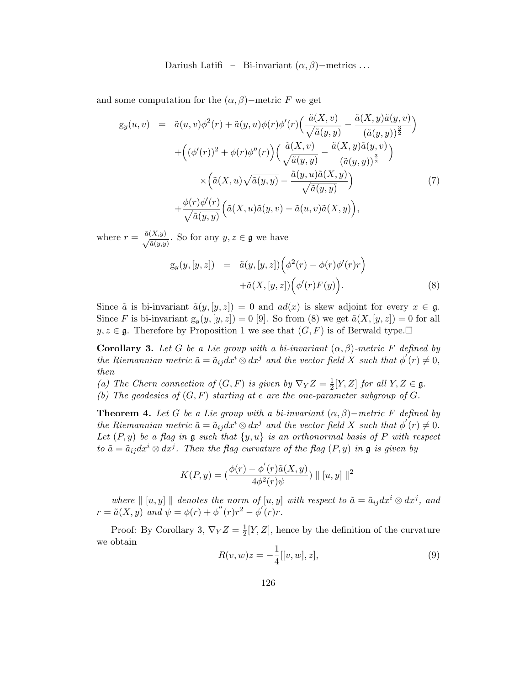and some computation for the  $(\alpha, \beta)$ −metric F we get

$$
g_y(u, v) = \tilde{a}(u, v)\phi^2(r) + \tilde{a}(y, u)\phi(r)\phi'(r)\left(\frac{\tilde{a}(X, v)}{\sqrt{\tilde{a}(y, y)}} - \frac{\tilde{a}(X, y)\tilde{a}(y, v)}{(\tilde{a}(y, y))^\frac{3}{2}}\right) + \left((\phi'(r))^2 + \phi(r)\phi''(r)\right)\left(\frac{\tilde{a}(X, v)}{\sqrt{\tilde{a}(y, y)}} - \frac{\tilde{a}(X, y)\tilde{a}(y, v)}{(\tilde{a}(y, y))^\frac{3}{2}}\right) \times \left(\tilde{a}(X, u)\sqrt{\tilde{a}(y, y)} - \frac{\tilde{a}(y, u)\tilde{a}(X, y)}{\sqrt{\tilde{a}(y, y)}}\right) + \frac{\phi(r)\phi'(r)}{\sqrt{\tilde{a}(y, y)}}\left(\tilde{a}(X, u)\tilde{a}(y, v) - \tilde{a}(u, v)\tilde{a}(X, y)\right),
$$
\n(7)

where  $r = \frac{\tilde{a}(X,y)}{\sqrt{\tilde{a}(y,y)}}$ . So for any  $y, z \in \mathfrak{g}$  we have

$$
g_y(y,[y,z]) = \tilde{a}(y,[y,z]) \Big( \phi^2(r) - \phi(r)\phi'(r)r \Big) + \tilde{a}(X,[y,z]) \Big( \phi'(r)F(y) \Big).
$$
 (8)

Since  $\tilde{a}$  is bi-invariant  $\tilde{a}(y,[y,z]) = 0$  and  $ad(x)$  is skew adjoint for every  $x \in \mathfrak{g}$ . Since F is bi-invariant  $g_y(y,[y,z]) = 0$  [\[9\]](#page-10-2). So from (8) we get  $\tilde{a}(X,[y,z]) = 0$  for all  $y, z \in \mathfrak{g}$ . Therefore by Proposition [1](#page-4-0) we see that  $(G, F)$  is of Berwald type.

**Corollary 3.** Let G be a Lie group with a bi-invariant  $(\alpha, \beta)$ -metric F defined by the Riemannian metric  $\tilde{a} = \tilde{a}_{ij} dx^i \otimes dx^j$  and the vector field X such that  $\phi'(r) \neq 0$ , then

- (a) The Chern connection of  $(G, F)$  is given by  $\nabla_Y Z = \frac{1}{2}$  $\frac{1}{2}[Y,Z]$  for all  $Y,Z \in \mathfrak{g}$ .
- (b) The geodesics of  $(G, F)$  starting at e are the one-parameter subgroup of  $G$ .

**Theorem 4.** Let G be a Lie group with a bi-invariant  $(\alpha, \beta)$ -metric F defined by the Riemannian metric  $\tilde{a} = \tilde{a}_{ij} dx^i \otimes dx^j$  and the vector field X such that  $\phi'(r) \neq 0$ . Let  $(P, y)$  be a flag in  $\mathfrak g$  such that  $\{y, u\}$  is an orthonormal basis of P with respect to  $\tilde{a} = \tilde{a}_{ij} dx^i \otimes dx^j$ . Then the flag curvature of the flag  $(P, y)$  in  $\mathfrak g$  is given by

$$
K(P, y) = \left(\frac{\phi(r) - \phi'(r)\tilde{a}(X, y)}{4\phi^2(r)\psi}\right) || [u, y] ||^2
$$

where  $\| [u, y] \|$  denotes the norm of  $[u, y]$  with respect to  $\tilde{a} = \tilde{a}_{ij} dx^i \otimes dx^j$ , and  $r = \tilde{a}(X, y)$  and  $\psi = \phi(r) + \phi''(r)r^2 - \phi'(r)r$ .

Proof: By Corollary 3,  $\nabla_Y Z = \frac{1}{2}$  $\frac{1}{2}[Y, Z]$ , hence by the definition of the curvature we obtain

$$
R(v, w)z = -\frac{1}{4}[[v, w], z],
$$
\n(9)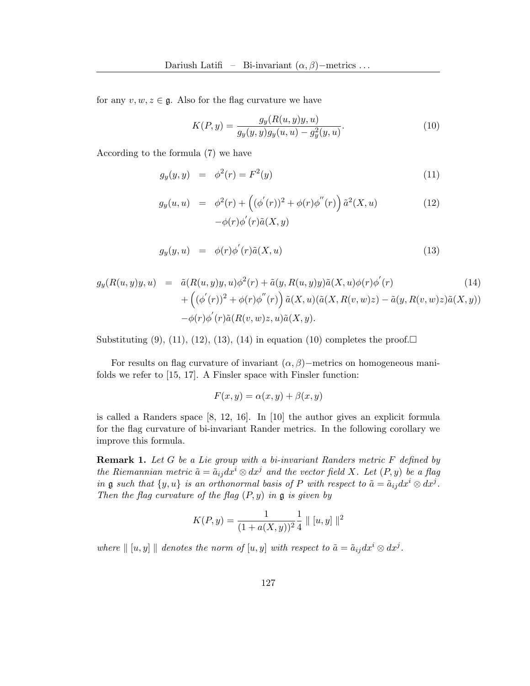for any  $v, w, z \in \mathfrak{g}$ . Also for the flag curvature we have

$$
K(P, y) = \frac{g_y(R(u, y)y, u)}{g_y(y, y)g_y(u, u) - g_y^2(y, u)}.
$$
\n(10)

According to the formula (7) we have

$$
g_y(y, y) = \phi^2(r) = F^2(y) \tag{11}
$$

$$
g_y(u, u) = \phi^2(r) + ((\phi'(r))^2 + \phi(r)\phi''(r)) \tilde{a}^2(X, u) - \phi(r)\phi'(r)\tilde{a}(X, y)
$$
 (12)

$$
g_y(y, u) = \phi(r)\phi'(r)\tilde{a}(X, u) \tag{13}
$$

$$
g_y(R(u,y)y, u) = \tilde{a}(R(u,y)y, u)\phi^2(r) + \tilde{a}(y, R(u,y)y)\tilde{a}(X, u)\phi(r)\phi'(r)
$$
  
+ 
$$
\left((\phi'(r))^2 + \phi(r)\phi''(r)\right)\tilde{a}(X, u)(\tilde{a}(X, R(v,w)z) - \tilde{a}(y, R(v,w)z)\tilde{a}(X, y))
$$
  
- 
$$
\phi(r)\phi'(r)\tilde{a}(R(v,w)z, u)\tilde{a}(X, y).
$$
 (14)

Substituting  $(9)$ ,  $(11)$ ,  $(12)$ ,  $(13)$ ,  $(14)$  in equation  $(10)$  completes the proof.

For results on flag curvature of invariant  $(\alpha, \beta)$ −metrics on homogeneous manifolds we refer to [\[15,](#page-10-7) [17\]](#page-10-5). A Finsler space with Finsler function:

 $F(x, y) = \alpha(x, y) + \beta(x, y)$ 

is called a Randers space [\[8,](#page-10-8) [12,](#page-10-9) [16\]](#page-10-10). In [\[10\]](#page-10-1) the author gives an explicit formula for the flag curvature of bi-invariant Rander metrics. In the following corollary we improve this formula.

**Remark 1.** Let G be a Lie group with a bi-invariant Randers metric F defined by the Riemannian metric  $\tilde{a} = \tilde{a}_{ij} dx^{i} \otimes dx^{j}$  and the vector field X. Let  $(P, y)$  be a flag in **g** such that  $\{y, u\}$  is an orthonormal basis of P with respect to  $\tilde{a} = \tilde{a}_{ij} dx^i \otimes dx^j$ . Then the flag curvature of the flag  $(P, y)$  in  $\mathfrak g$  is given by

$$
K(P,y) = \frac{1}{(1 + a(X,y))^2} \frac{1}{4} || [u, y] ||^2
$$

where  $\Vert [u, y] \Vert$  denotes the norm of  $[u, y]$  with respect to  $\tilde{a} = \tilde{a}_{ij} dx^{i} \otimes dx^{j}$ .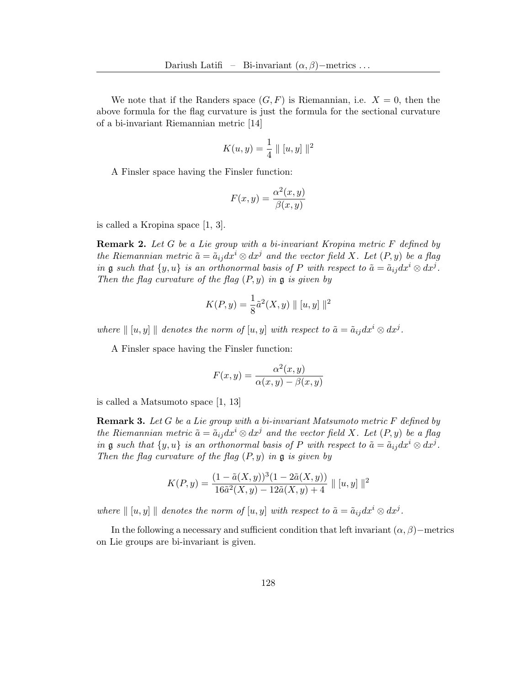We note that if the Randers space  $(G, F)$  is Riemannian, i.e.  $X = 0$ , then the above formula for the flag curvature is just the formula for the sectional curvature of a bi-invariant Riemannian metric [\[14\]](#page-10-11)

$$
K(u, y) = \frac{1}{4} || [u, y] ||^2
$$

A Finsler space having the Finsler function:

$$
F(x,y) = \frac{\alpha^2(x,y)}{\beta(x,y)}
$$

is called a Kropina space [\[1,](#page-9-1) [3\]](#page-9-3).

Remark 2. Let G be a Lie group with a bi-invariant Kropina metric F defined by the Riemannian metric  $\tilde{a} = \tilde{a}_{ij} dx^i \otimes dx^j$  and the vector field X. Let  $(P, y)$  be a flag in **g** such that  $\{y, u\}$  is an orthonormal basis of P with respect to  $\tilde{a} = \tilde{a}_{ij} dx^i \otimes dx^j$ . Then the flag curvature of the flag  $(P, y)$  in  $\mathfrak g$  is given by

$$
K(P, y) = \frac{1}{8}\tilde{a}^{2}(X, y) \| [u, y] \|^{2}
$$

where  $\| [u, y] \|$  denotes the norm of  $[u, y]$  with respect to  $\tilde{a} = \tilde{a}_{ij} dx^i \otimes dx^j$ .

A Finsler space having the Finsler function:

$$
F(x,y) = \frac{\alpha^{2}(x,y)}{\alpha(x,y) - \beta(x,y)}
$$

is called a Matsumoto space [\[1,](#page-9-1) [13\]](#page-10-12)

**Remark 3.** Let G be a Lie group with a bi-invariant Matsumoto metric  $F$  defined by the Riemannian metric  $\tilde{a} = \tilde{a}_{ij} dx^i \otimes dx^j$  and the vector field X. Let  $(P, y)$  be a flag in **g** such that  $\{y, u\}$  is an orthonormal basis of P with respect to  $\tilde{a} = \tilde{a}_{ij} dx^i \otimes dx^j$ . Then the flag curvature of the flag  $(P, y)$  in  $\mathfrak g$  is given by

$$
K(P,y) = \frac{(1 - \tilde{a}(X,y))^3 (1 - 2\tilde{a}(X,y))}{16\tilde{a}^2 (X,y) - 12\tilde{a}(X,y) + 4} || [u, y] ||^2
$$

where  $\| [u, y] \|$  denotes the norm of  $[u, y]$  with respect to  $\tilde{a} = \tilde{a}_{ij} dx^i \otimes dx^j$ .

In the following a necessary and sufficient condition that left invariant  $(\alpha, \beta)$ −metrics on Lie groups are bi-invariant is given.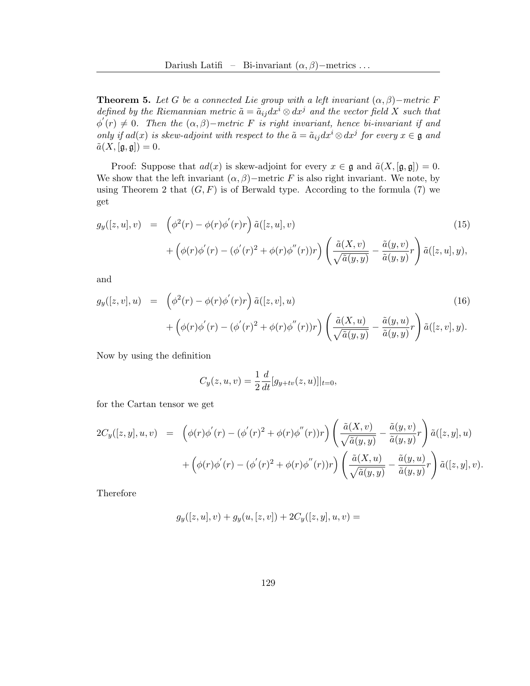**Theorem 5.** Let G be a connected Lie group with a left invariant  $(\alpha, \beta)$ –metric F defined by the Riemannian metric  $\tilde{a} = \tilde{a}_{ij} dx^{i} \otimes dx^{j}$  and the vector field X such that  $\phi^{'}(r) \neq 0$ . Then the  $(\alpha, \beta)$ -metric F is right invariant, hence bi-invariant if and only if  $ad(x)$  is skew-adjoint with respect to the  $\tilde{a} = \tilde{a}_{ij} dx^i \otimes dx^j$  for every  $x \in \mathfrak{g}$  and  $\tilde{a}(X,[\mathfrak{g},\mathfrak{g}])=0.$ 

Proof: Suppose that  $ad(x)$  is skew-adjoint for every  $x \in \mathfrak{g}$  and  $\tilde{a}(X,[\mathfrak{g},\mathfrak{g}])=0$ . We show that the left invariant  $(\alpha, \beta)$ −metric F is also right invariant. We note, by using Theorem 2 that  $(G, F)$  is of Berwald type. According to the formula (7) we get

$$
g_y([z, u], v) = \left(\phi^2(r) - \phi(r)\phi'(r)r\right)\tilde{a}([z, u], v) + \left(\phi(r)\phi'(r) - (\phi'(r)^2 + \phi(r)\phi''(r))r\right)\left(\frac{\tilde{a}(X, v)}{\sqrt{\tilde{a}(y, y)}} - \frac{\tilde{a}(y, v)}{\tilde{a}(y, y)}r\right)\tilde{a}([z, u], y),
$$
\n(15)

and

$$
g_y([z,v],u) = \left(\phi^2(r) - \phi(r)\phi'(r)r\right)\tilde{a}([z,v],u) + \left(\phi(r)\phi'(r) - (\phi'(r)^2 + \phi(r)\phi''(r))r\right)\left(\frac{\tilde{a}(X,u)}{\sqrt{\tilde{a}(y,y)}} - \frac{\tilde{a}(y,u)}{\tilde{a}(y,y)}r\right)\tilde{a}([z,v],y).
$$
\n(16)

Now by using the definition

$$
C_y(z, u, v) = \frac{1}{2} \frac{d}{dt} [g_{y+tv}(z, u)]|_{t=0},
$$

for the Cartan tensor we get

$$
2C_y([z, y], u, v) = \left( \phi(r)\phi'(r) - (\phi'(r)^2 + \phi(r)\phi''(r))r \right) \left( \frac{\tilde{a}(X, v)}{\sqrt{\tilde{a}(y, y)}} - \frac{\tilde{a}(y, v)}{\tilde{a}(y, y)}r \right) \tilde{a}([z, y], u) + \left( \phi(r)\phi'(r) - (\phi'(r)^2 + \phi(r)\phi''(r))r \right) \left( \frac{\tilde{a}(X, u)}{\sqrt{\tilde{a}(y, y)}} - \frac{\tilde{a}(y, u)}{\tilde{a}(y, y)}r \right) \tilde{a}([z, y], v).
$$

Therefore

$$
g_y([z, u], v) + g_y(u, [z, v]) + 2C_y([z, y], u, v) =
$$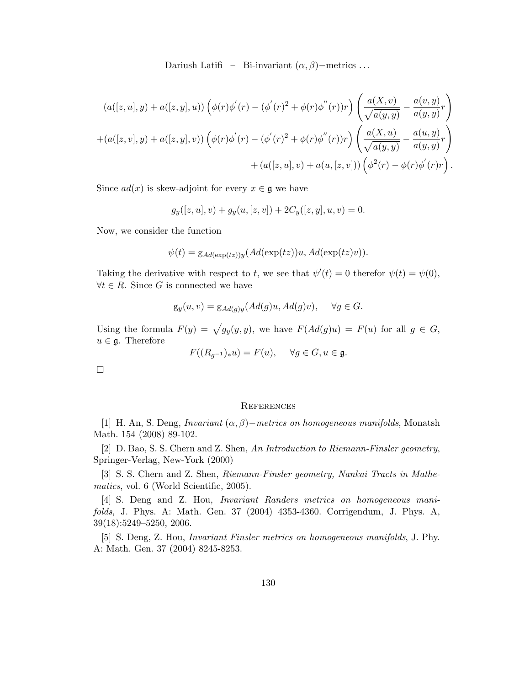$$
(a([z, u], y) + a([z, y], u)) \left( \phi(r) \phi'(r) - (\phi'(r)^2 + \phi(r) \phi''(r))r \right) \left( \frac{a(X, v)}{\sqrt{a(y, y)}} - \frac{a(v, y)}{a(y, y)}r \right) + (a([z, v], y) + a([z, y], v)) \left( \phi(r) \phi'(r) - (\phi'(r)^2 + \phi(r) \phi''(r))r \right) \left( \frac{a(X, u)}{\sqrt{a(y, y)}} - \frac{a(u, y)}{a(y, y)}r \right) + (a([z, u], v) + a(u, [z, v])) \left( \phi^2(r) - \phi(r) \phi'(r)r \right).
$$

Since  $ad(x)$  is skew-adjoint for every  $x \in \mathfrak{g}$  we have

$$
g_y([z, u], v) + g_y(u, [z, v]) + 2C_y([z, y], u, v) = 0.
$$

Now, we consider the function

$$
\psi(t) = g_{Ad(\exp(tz))y}(Ad(\exp(tz))u, Ad(\exp(tz)v)).
$$

Taking the derivative with respect to t, we see that  $\psi'(t) = 0$  therefor  $\psi(t) = \psi(0)$ ,  $\forall t \in R$ . Since G is connected we have

$$
g_y(u, v) = g_{Ad(g)y}(Ad(g)u, Ad(g)v), \quad \forall g \in G.
$$

Using the formula  $F(y) = \sqrt{g_y(y, y)}$ , we have  $F(\text{Ad}(g)u) = F(u)$  for all  $g \in G$ ,  $u \in \mathfrak{g}$ . Therefore

$$
F((R_{g^{-1}})_*u) = F(u), \quad \forall g \in G, u \in \mathfrak{g}.
$$

 $\Box$ 

#### **REFERENCES**

<span id="page-9-1"></span>[1] H. An, S. Deng, *Invariant*  $(\alpha, \beta)$ −metrics on homogeneous manifolds, Monatsh Math. 154 (2008) 89-102.

<span id="page-9-2"></span>[2] D. Bao, S. S. Chern and Z. Shen, An Introduction to Riemann-Finsler geometry, Springer-Verlag, New-York (2000)

<span id="page-9-3"></span>[3] S. S. Chern and Z. Shen, Riemann-Finsler geometry, Nankai Tracts in Mathematics, vol. 6 (World Scientific, 2005).

<span id="page-9-4"></span>[4] S. Deng and Z. Hou, Invariant Randers metrics on homogeneous manifolds, J. Phys. A: Math. Gen. 37 (2004) 4353-4360. Corrigendum, J. Phys. A, 39(18):5249–5250, 2006.

<span id="page-9-0"></span>[5] S. Deng, Z. Hou, Invariant Finsler metrics on homogeneous manifolds, J. Phy. A: Math. Gen. 37 (2004) 8245-8253.